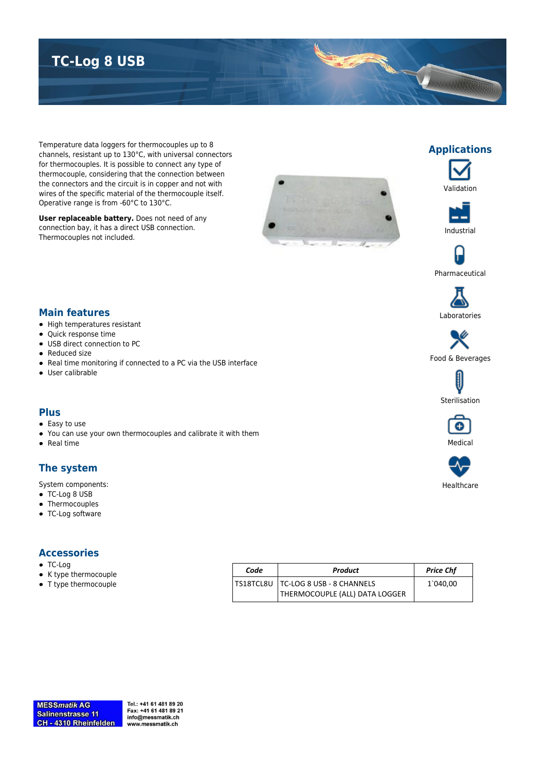# **TC-Log 8 USB**

Temperature data loggers for thermocouples up to 8 channels, resistant up to 130°C, with universal connectors for thermocouples. It is possible to connect any type of thermocouple, considering that the connection between the connectors and the circuit is in copper and not with wires of the specific material of the thermocouple itself. Operative range is from -60°C to 130°C.

**User replaceable battery.** Does not need of any connection bay, it has a direct USB connection. Thermocouples not included.





**Applications**





Pharmaceutical



Food & Beverages





Healthcare

### **Main features**

- High temperatures resistant
- Quick response time
- USB direct connection to PC
- Reduced size
- Real time monitoring if connected to a PC via the USB interface
- User calibrable

### **Plus**

- Easy to use
- You can use your own thermocouples and calibrate it with them
- Real time

### **The system**

System components:

- TC-Log 8 USB
- Thermocouples
- TC-Log software

#### **Accessories**

- TC-Log
- K type thermocouple
- T type thermocouple

| Code | Product                                                                 | <b>Price Chf</b> |
|------|-------------------------------------------------------------------------|------------------|
|      | TS18TCL8U   TC-LOG 8 USB - 8 CHANNELS<br>THERMOCOUPLE (ALL) DATA LOGGER | 1`040,00         |

Tel.: +41 61 481 89 20 Fax: +41 61 481 89 21 info@messmatik.ch www.messmatik.ch